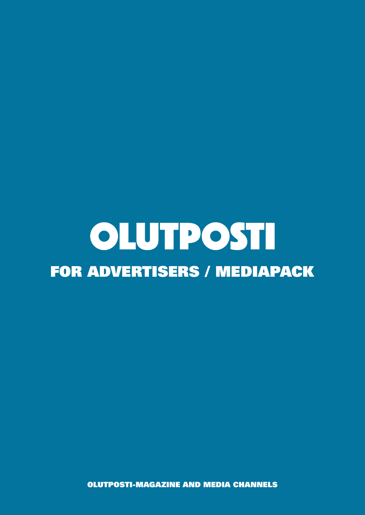# OLUTPOSTI FOR ADVERTISERS / MEDIAPACK

OLUTPOSTI-MAGAZINE AND MEDIA CHANNELS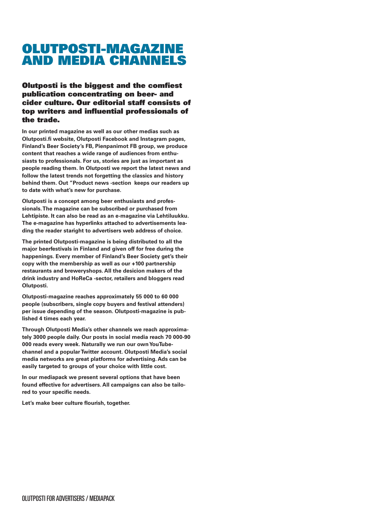# OLUTPOSTI-MAGAZINE AND MEDIA CHANNELS

### Olutposti is the biggest and the comfiest publication concentrating on beer- and cider culture. Our editorial staff consists of top writers and influential professionals of the trade.

**In our printed magazine as well as our other medias such as Olutposti.fi website, Olutposti Facebook and Instagram pages, Finland's Beer Society's FB, Pienpanimot FB group, we produce content that reaches a wide range of audiences from enthusiasts to professionals. For us, stories are just as important as people reading them. In Olutposti we report the latest news and follow the latest trends not forgetting the classics and history behind them. Out "Product news -section keeps our readers up to date with what's new for purchase.**

**Olutposti is a concept among beer enthusiasts and professionals. The magazine can be subscribed or purchased from Lehtipiste. It can also be read as an e-magazine via Lehtiluukku. The e-magazine has hyperlinks attached to advertisements leading the reader staright to advertisers web address of choice.**

**The printed Olutposti-magazine is being distributed to all the major beerfestivals in Finland and given off for free during the happenings. Every member of Finland's Beer Society get's their copy with the membership as well as our +100 partnership restaurants and breweryshops. All the desicion makers of the drink industry and HoReCa -sector, retailers and bloggers read Olutposti.**

**Olutposti-magazine reaches approximately 55 000 to 60 000 people (subscribers, single copy buyers and festival attenders) per issue depending of the season. Olutposti-magazine is published 4 times each year.**

**Through Olutposti Media's other channels we reach approximately 3000 people daily. Our posts in social media reach 70 000-90 000 reads every week. Naturally we run our own YouTubechannel and a popular Twitter account. Olutposti Media's social media networks are great platforms for advertising. Ads can be easily targeted to groups of your choice with little cost.**

**In our mediapack we present several options that have been found effective for advertisers. All campaigns can also be tailored to your specific needs.**

**Let's make beer culture flourish, together.**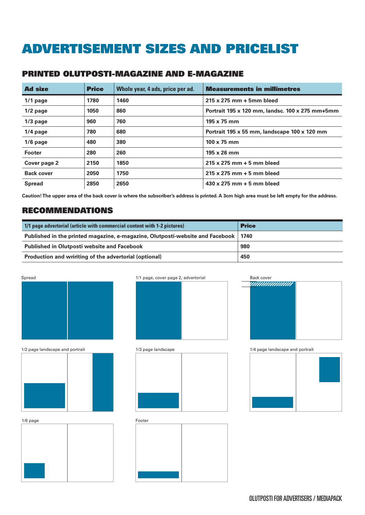# ADVERTISEMENT SIZES AND PRICELIST

### PRINTED OLUTPOSTI-MAGAZINE AND E-MAGAZINE

| <b>Ad size</b>    | <b>Price</b> | Whole year, 4 ads, price per ad. | <b>Measurements in millimetres</b>              |
|-------------------|--------------|----------------------------------|-------------------------------------------------|
| $1/1$ page        | 1780         | 1460                             | 215 x 275 mm + 5mm bleed                        |
| $1/2$ page        | 1050         | 860                              | Portrait 195 x 120 mm, landsc. 100 x 275 mm+5mm |
| $1/3$ page        | 960          | 760                              | $195 \times 75$ mm                              |
| $1/4$ page        | 780          | 680                              | Portrait 195 x 55 mm, landscape 100 x 120 mm    |
| $1/6$ page        | 480          | 380                              | $100 \times 75$ mm                              |
| <b>Footer</b>     | 280          | 260                              | 195 x 26 mm                                     |
| Cover page 2      | 2150         | 1850                             | $215 \times 275$ mm + 5 mm bleed                |
| <b>Back cover</b> | 2050         | 1750                             | 215 x 275 mm + 5 mm bleed                       |
| <b>Spread</b>     | 2850         | 2650                             | 430 x 275 mm + 5 mm bleed                       |

**Caution! The upper area of the back cover is where the subscriber's address is printed. A 3cm high area must be left empty for the address.** 

### RECOMMENDATIONS

| 1/1 page advertorial (article with commercial content with 1-2 pictures)             | <b>Price</b> |
|--------------------------------------------------------------------------------------|--------------|
| Published in the printed magazine, e-magazine, Olutposti-website and Facebook   1740 |              |
| <b>Published in Olutposti website and Facebook</b>                                   | 980          |
| Production and wririting of the advertorial (optional)                               | 450          |









1/2 page landscape and portrait 1/3 page landscape

1/6 page









OLUTPOSTI FOR ADVERTISERS / MEDIAPACK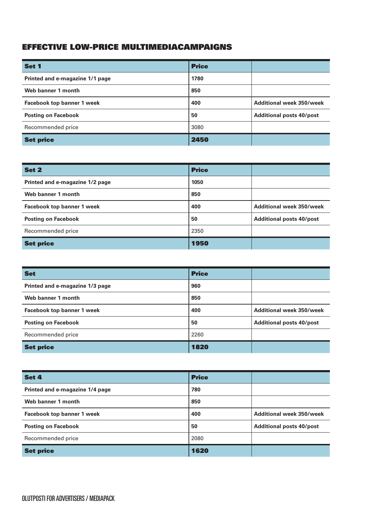# EFFECTIVE LOW-PRICE MULTIMEDIACAMPAIGNS

| Set 1                             | <b>Price</b> |                                 |
|-----------------------------------|--------------|---------------------------------|
| Printed and e-magazine 1/1 page   | 1780         |                                 |
| Web banner 1 month                | 850          |                                 |
| <b>Facebook top banner 1 week</b> | 400          | <b>Additional week 350/week</b> |
| <b>Posting on Facebook</b>        | 50           | <b>Additional posts 40/post</b> |
| Recommended price                 | 3080         |                                 |
| <b>Set price</b>                  | 2450         |                                 |

| Set 2                             | <b>Price</b> |                                 |
|-----------------------------------|--------------|---------------------------------|
| Printed and e-magazine 1/2 page   | 1050         |                                 |
| Web banner 1 month                | 850          |                                 |
| <b>Facebook top banner 1 week</b> | 400          | <b>Additional week 350/week</b> |
| <b>Posting on Facebook</b>        | 50           | <b>Additional posts 40/post</b> |
| Recommended price                 | 2350         |                                 |
| <b>Set price</b>                  | 1950         |                                 |

| <b>Set</b>                        | <b>Price</b> |                                 |
|-----------------------------------|--------------|---------------------------------|
| Printed and e-magazine 1/3 page   | 960          |                                 |
| Web banner 1 month                | 850          |                                 |
| <b>Facebook top banner 1 week</b> | 400          | <b>Additional week 350/week</b> |
| <b>Posting on Facebook</b>        | 50           | <b>Additional posts 40/post</b> |
| Recommended price                 | 2260         |                                 |
| <b>Set price</b>                  | 1820         |                                 |

| Set 4                             | <b>Price</b> |                                 |
|-----------------------------------|--------------|---------------------------------|
| Printed and e-magazine 1/4 page   | 780          |                                 |
| Web banner 1 month                | 850          |                                 |
| <b>Facebook top banner 1 week</b> | 400          | <b>Additional week 350/week</b> |
| <b>Posting on Facebook</b>        | 50           | <b>Additional posts 40/post</b> |
| Recommended price                 | 2080         |                                 |
| <b>Set price</b>                  | 1620         |                                 |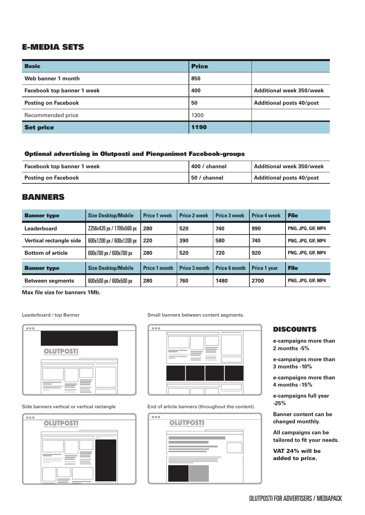# E-MEDIA SETS

| <b>Basic</b>                      | <b>Price</b> |                                 |
|-----------------------------------|--------------|---------------------------------|
| Web banner 1 month                | 850          |                                 |
| <b>Facebook top banner 1 week</b> | 400          | <b>Additional week 350/week</b> |
| <b>Posting on Facebook</b>        | 50           | <b>Additional posts 40/post</b> |
| Recommended price                 | 1300         |                                 |
| <b>Set price</b>                  | 1190         |                                 |

#### Optional advertising in Olutposti and Pienpanimot Facebook-groups

| <b>Facebook top banner 1 week</b> | 400 / channel | Additional week 350/week |
|-----------------------------------|---------------|--------------------------|
| <b>Posting on Facebook</b>        | 50 / channel  | Additional posts 40/post |

### BANNERS

| <b>Banner type</b>       | <b>Size Desktop/Mobile</b> | <b>Price 1 week</b>  | <b>Price 2 week</b>  | <b>Price 3 week</b>  | <b>Price 4 week</b> | <b>File</b>               |
|--------------------------|----------------------------|----------------------|----------------------|----------------------|---------------------|---------------------------|
| Leaderboard              | 2256x420 px / 1700x560 px  | 280                  | 520                  | 740                  | 990                 | PNG, JPG, GIF, MP4        |
| Vertical rectangle side  | 600x1200 px / 600x1200 px  | 220                  | 390                  | 580                  | 740                 | PNG, JPG, GIF, MP4        |
| <b>Bottom of article</b> | 600x700 px / 600x700 px    | 280                  | 520                  | 720                  | 920                 | PNG, JPG, GIF, MP4        |
| <b>Banner type</b>       | <b>Size Desktop/Mobile</b> | <b>Price 1 month</b> | <b>Price 3 month</b> | <b>Price 6 month</b> | <b>Price 1 year</b> | <b>File</b>               |
| <b>Between segments</b>  | 600x500 px / 600x500 px    | 280                  | 760                  | 1480                 | 2700                | <b>PNG. JPG. GIF. MP4</b> |

**Max file size for banners 1Mb.**

Leaderboard / top Banner



#### Side banners vertical or vertical rectangle



Small banners between content segments.



End of article banners (throughout the content).



#### DISCOUNTS

**e-campaigns more than 2 months -5%**

**e-campaigns more than 3 months -10%**

**e-campaigns more than 4 months -15%**

**e-campaigns full year -25%**

**Banner content can be changed monthly.**

**All campaigns can be tailored to fit your needs.**

VAT 24% will be added to price.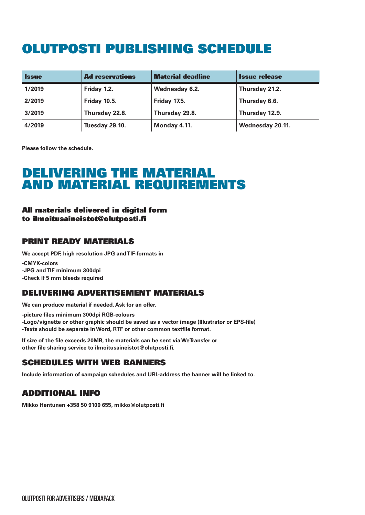# OLUTPOSTI PUBLISHING SCHEDULE

| <b>Issue</b> | <b>Ad reservations</b> | <b>Material deadline</b> | <b>Issue release</b> |
|--------------|------------------------|--------------------------|----------------------|
| 1/2019       | Friday 1.2.            | Wednesday 6.2.           | Thursday 21.2.       |
| 2/2019       | Friday 10.5.           | <b>Friday 17.5.</b>      | Thursday 6.6.        |
| 3/2019       | Thursday 22.8.         | Thursday 29.8.           | Thursday 12.9.       |
| 4/2019       | Tuesday 29.10.         | Monday 4.11.             | Wednesday 20.11.     |

**Please follow the schedule.**

# DELIVERING THE MATERIAL AND MATERIAL REQUIREMENTS

#### All materials delivered in digital form to ilmoitusaineistot@olutposti.fi

# PRINT READY MATERIALS

**We accept PDF, high resolution JPG and TIF-formats in**

**-CMYK-colors -JPG and TIF minimum 300dpi -Check if 5 mm bleeds required**

# DELIVERING ADVERTISEMENT MATERIALS

**We can produce material if needed. Ask for an offer.**

**-picture files minimum 300dpi RGB-colours -Logo/vignette or other graphic should be saved as a vector image (Illustrator or EPS-file) -Texts should be separate in Word, RTF or other common textfile format.**

**If size of the file exceeds 20MB, the materials can be sent via WeTransfer or other file sharing service to ilmoitusaineistot@olutposti.fi.**

# SCHEDULES WITH WEB BANNERS

**Include information of campaign schedules and URL-address the banner will be linked to.**

# ADDITIONAL INFO

**Mikko Hentunen +358 50 9100 655, mikko@olutposti.fi**